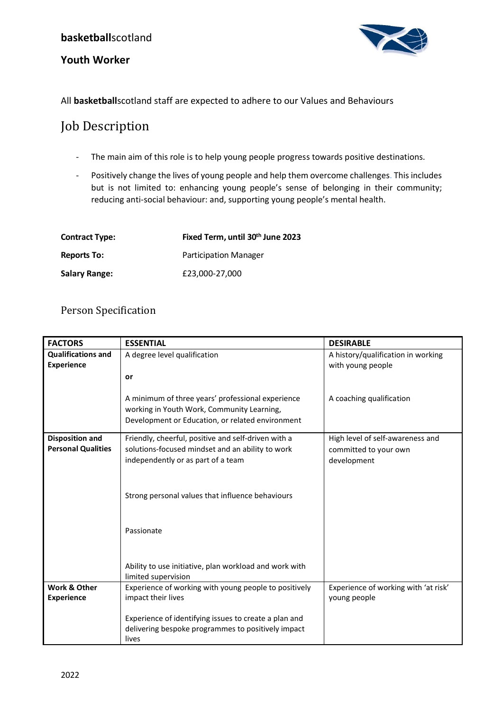### **Youth Worker**



All **basketball**scotland staff are expected to adhere to our Values and Behaviours

# Job Description

- The main aim of this role is to help young people progress towards positive destinations.
- Positively change the lives of young people and help them overcome challenges. This includes but is not limited to: enhancing young people's sense of belonging in their community; reducing anti-social behaviour: and, supporting young people's mental health.

| <b>Contract Type:</b> | Fixed Term, until 30 <sup>th</sup> June 2023 |
|-----------------------|----------------------------------------------|
| <b>Reports To:</b>    | <b>Participation Manager</b>                 |
| <b>Salary Range:</b>  | £23,000-27,000                               |

# Person Specification

| <b>FACTORS</b>                                      | <b>ESSENTIAL</b>                                                                                                                                                                                                                                                                                 | <b>DESIRABLE</b>                                                         |
|-----------------------------------------------------|--------------------------------------------------------------------------------------------------------------------------------------------------------------------------------------------------------------------------------------------------------------------------------------------------|--------------------------------------------------------------------------|
| <b>Qualifications and</b><br><b>Experience</b>      | A degree level qualification<br>or                                                                                                                                                                                                                                                               | A history/qualification in working<br>with young people                  |
|                                                     | A minimum of three years' professional experience<br>working in Youth Work, Community Learning,<br>Development or Education, or related environment                                                                                                                                              | A coaching qualification                                                 |
| <b>Disposition and</b><br><b>Personal Qualities</b> | Friendly, cheerful, positive and self-driven with a<br>solutions-focused mindset and an ability to work<br>independently or as part of a team<br>Strong personal values that influence behaviours<br>Passionate<br>Ability to use initiative, plan workload and work with<br>limited supervision | High level of self-awareness and<br>committed to your own<br>development |
| Work & Other<br><b>Experience</b>                   | Experience of working with young people to positively<br>impact their lives<br>Experience of identifying issues to create a plan and<br>delivering bespoke programmes to positively impact<br>lives                                                                                              | Experience of working with 'at risk'<br>voung people                     |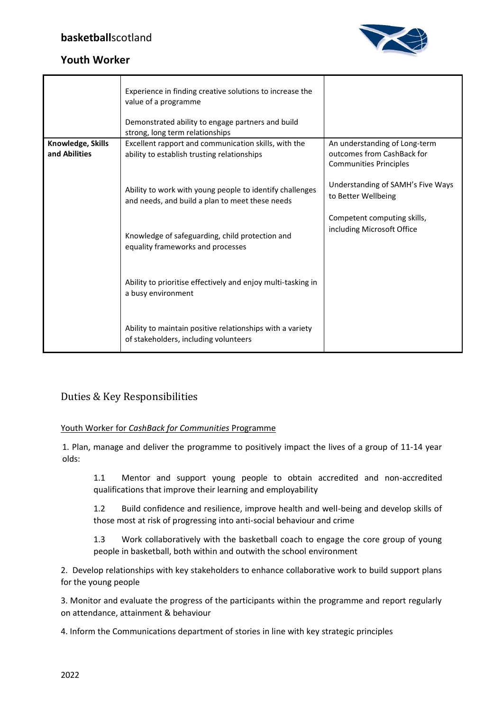

# **Youth Worker**

|                   | Experience in finding creative solutions to increase the<br>value of a programme<br>Demonstrated ability to engage partners and build<br>strong, long term relationships |                                                           |
|-------------------|--------------------------------------------------------------------------------------------------------------------------------------------------------------------------|-----------------------------------------------------------|
| Knowledge, Skills | Excellent rapport and communication skills, with the                                                                                                                     | An understanding of Long-term                             |
| and Abilities     | ability to establish trusting relationships                                                                                                                              | outcomes from CashBack for                                |
|                   |                                                                                                                                                                          | <b>Communities Principles</b>                             |
|                   | Ability to work with young people to identify challenges<br>and needs, and build a plan to meet these needs                                                              | Understanding of SAMH's Five Ways<br>to Better Wellbeing  |
|                   | Knowledge of safeguarding, child protection and<br>equality frameworks and processes                                                                                     | Competent computing skills,<br>including Microsoft Office |
|                   | Ability to prioritise effectively and enjoy multi-tasking in<br>a busy environment                                                                                       |                                                           |
|                   | Ability to maintain positive relationships with a variety<br>of stakeholders, including volunteers                                                                       |                                                           |

# Duties & Key Responsibilities

#### Youth Worker for *CashBack for Communities* Programme

1. Plan, manage and deliver the programme to positively impact the lives of a group of 11-14 year olds:

1.1 Mentor and support young people to obtain accredited and non-accredited qualifications that improve their learning and employability

1.2 Build confidence and resilience, improve health and well-being and develop skills of those most at risk of progressing into anti-social behaviour and crime

1.3 Work collaboratively with the basketball coach to engage the core group of young people in basketball, both within and outwith the school environment

2. Develop relationships with key stakeholders to enhance collaborative work to build support plans for the young people

3. Monitor and evaluate the progress of the participants within the programme and report regularly on attendance, attainment & behaviour

4. Inform the Communications department of stories in line with key strategic principles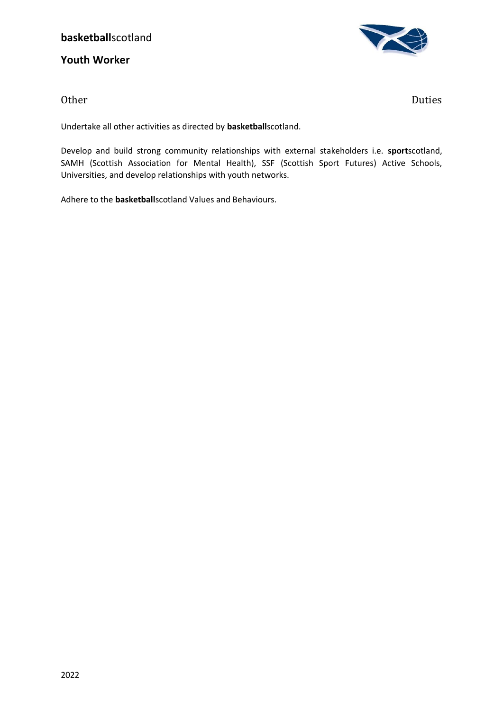### **basketball**scotland

**Youth Worker**



Other Duties

Undertake all other activities as directed by **basketball**scotland.

Develop and build strong community relationships with external stakeholders i.e. **sport**scotland, SAMH (Scottish Association for Mental Health), SSF (Scottish Sport Futures) Active Schools, Universities, and develop relationships with youth networks.

Adhere to the **basketball**scotland Values and Behaviours.